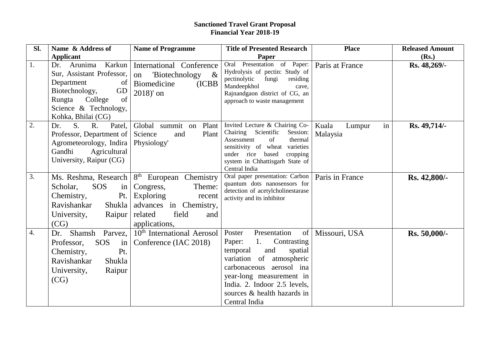## **Sanctioned Travel Grant Proposal Financial Year 2018-19**

| Sl.              | Name & Address of                                                                                                                                                                           | <b>Name of Programme</b>                                                                                                                                                               | <b>Title of Presented Research</b>                                                                                                                                                                                                                               | <b>Place</b>                      | <b>Released Amount</b> |
|------------------|---------------------------------------------------------------------------------------------------------------------------------------------------------------------------------------------|----------------------------------------------------------------------------------------------------------------------------------------------------------------------------------------|------------------------------------------------------------------------------------------------------------------------------------------------------------------------------------------------------------------------------------------------------------------|-----------------------------------|------------------------|
|                  | <b>Applicant</b>                                                                                                                                                                            |                                                                                                                                                                                        | Paper                                                                                                                                                                                                                                                            |                                   | (Rs.)                  |
| 1.               | Karkun<br>Arunima<br>Dr.<br>Sur, Assistant Professor,<br>Department<br>$\vert$ of $\vert$<br>Biotechnology,<br>GD<br>Rungta<br>College<br>of<br>Science & Technology,<br>Kohka, Bhilai (CG) | International Conference<br>$\alpha$<br>'Biotechnology<br>on<br>Biomedicine<br>(ICBB)<br>$2018'$ on                                                                                    | Oral Presentation of Paper:<br>Hydrolysis of pectin: Study of<br>pectinolytic<br>fungi<br>residing<br>Mandeepkhol<br>cave,<br>Rajnandgaon district of CG, an<br>approach to waste management                                                                     | Paris at France                   | Rs. 48,269/-           |
| 2.               | S. R.<br>Patel,<br>Dr.<br>Professor, Department of   Science<br>Agrometeorology, Indira<br>Gandhi<br>Agricultural<br>University, Raipur (CG)                                                | Global summit on Plant<br>Plant<br>and<br>Physiology'                                                                                                                                  | Invited Lecture & Chairing Co-<br>Chairing Scientific<br>Session:<br>Assessment<br>of<br>thermal<br>sensitivity of wheat varieties<br>under rice based cropping<br>system in Chhattisgarh State of<br>Central India                                              | Kuala<br>Lumpur<br>in<br>Malaysia | Rs. 49,714/-           |
| $\overline{3}$ . | SOS<br>Scholar,<br>$\frac{1}{2}$<br>Chemistry,<br>Pt.<br>Ravishankar<br>Shukla<br>University,<br>(CG)                                                                                       | Ms. Reshma, Research   8 <sup>th</sup> European Chemistry<br>Theme:<br>Congress,<br>Exploring<br>recent<br>advances in Chemistry,<br>field<br>Raipur   related<br>and<br>applications, | Oral paper presentation: Carbon  <br>quantum dots nanosensors for<br>detection of acetylcholinestarase<br>activity and its inhibitor                                                                                                                             | Paris in France                   | Rs. 42,800/-           |
| $\overline{4}$ . | Dr. Shamsh Parvez,<br><b>SOS</b><br>$\left  \text{in} \right $<br>Professor,<br>Chemistry,<br>Pt.<br>Ravishankar<br>Shukla<br>Raipur<br>University,<br>(CG)                                 | 10 <sup>th</sup> International Aerosol<br>Conference (IAC 2018)                                                                                                                        | Presentation<br>Poster<br>of<br>1.<br>Contrasting<br>Paper:<br>temporal<br>and<br>spatial<br>variation of atmospheric<br>aerosol ina<br>carbonaceous<br>year-long measurement in<br>India. 2. Indoor 2.5 levels,<br>sources & health hazards in<br>Central India | Missouri, USA                     | Rs. 50,000/-           |